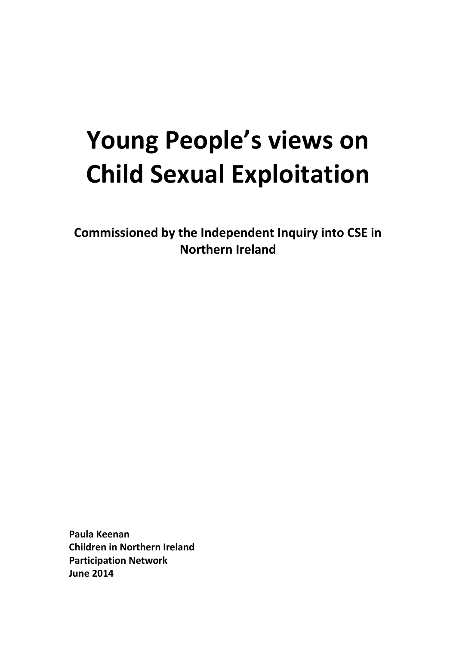# **Young People's views on Child Sexual Exploitation**

**Commissioned by the Independent Inquiry into CSE in Northern Ireland**

**Paula Keenan Children in Northern Ireland Participation Network June 2014**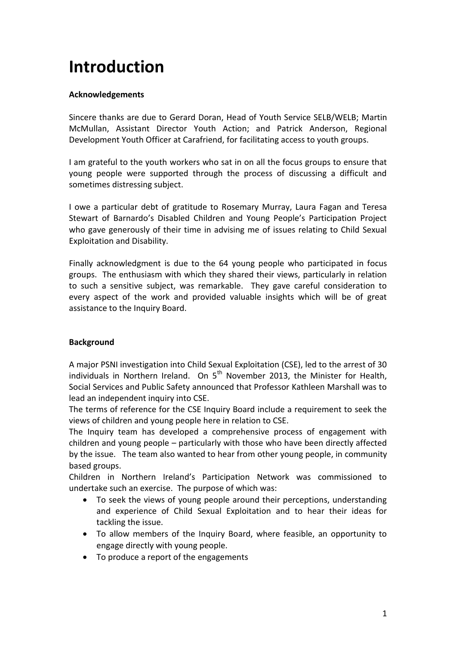# **Introduction**

### **Acknowledgements**

Sincere thanks are due to Gerard Doran, Head of Youth Service SELB/WELB; Martin McMullan, Assistant Director Youth Action; and Patrick Anderson, Regional Development Youth Officer at Carafriend, for facilitating access to youth groups.

I am grateful to the youth workers who sat in on all the focus groups to ensure that young people were supported through the process of discussing a difficult and sometimes distressing subject.

I owe a particular debt of gratitude to Rosemary Murray, Laura Fagan and Teresa Stewart of Barnardo's Disabled Children and Young People's Participation Project who gave generously of their time in advising me of issues relating to Child Sexual Exploitation and Disability.

Finally acknowledgment is due to the 64 young people who participated in focus groups. The enthusiasm with which they shared their views, particularly in relation to such a sensitive subject, was remarkable. They gave careful consideration to every aspect of the work and provided valuable insights which will be of great assistance to the Inquiry Board.

#### **Background**

A major PSNI investigation into Child Sexual Exploitation (CSE), led to the arrest of 30 individuals in Northern Ireland. On  $5<sup>th</sup>$  November 2013, the Minister for Health, Social Services and Public Safety announced that Professor Kathleen Marshall was to lead an independent inquiry into CSE.

The terms of reference for the CSE Inquiry Board include a requirement to seek the views of children and young people here in relation to CSE.

The Inquiry team has developed a comprehensive process of engagement with children and young people – particularly with those who have been directly affected by the issue. The team also wanted to hear from other young people, in community based groups.

Children in Northern Ireland's Participation Network was commissioned to undertake such an exercise. The purpose of which was:

- To seek the views of young people around their perceptions, understanding and experience of Child Sexual Exploitation and to hear their ideas for tackling the issue.
- To allow members of the Inquiry Board, where feasible, an opportunity to engage directly with young people.
- To produce a report of the engagements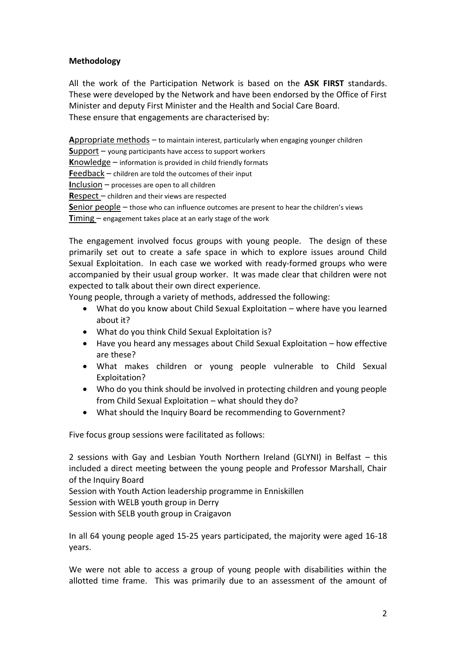### **Methodology**

All the work of the Participation Network is based on the **ASK FIRST** standards. These were developed by the Network and have been endorsed by the Office of First Minister and deputy First Minister and the Health and Social Care Board. These ensure that engagements are characterised by:

**A**ppropriate methods – to maintain interest, particularly when engaging younger children **S**upport – young participants have access to support workers **K**nowledge – information is provided in child friendly formats **F**eedback – children are told the outcomes of their input **I**nclusion – processes are open to all children **R**espect – children and their views are respected **S**enior people – those who can influence outcomes are present to hear the children's views **Timing** – engagement takes place at an early stage of the work

The engagement involved focus groups with young people. The design of these primarily set out to create a safe space in which to explore issues around Child Sexual Exploitation. In each case we worked with ready-formed groups who were accompanied by their usual group worker. It was made clear that children were not expected to talk about their own direct experience.

Young people, through a variety of methods, addressed the following:

- What do you know about Child Sexual Exploitation where have you learned about it?
- What do you think Child Sexual Exploitation is?
- Have you heard any messages about Child Sexual Exploitation how effective are these?
- What makes children or young people vulnerable to Child Sexual Exploitation?
- Who do you think should be involved in protecting children and young people from Child Sexual Exploitation – what should they do?
- What should the Inquiry Board be recommending to Government?

Five focus group sessions were facilitated as follows:

2 sessions with Gay and Lesbian Youth Northern Ireland (GLYNI) in Belfast – this included a direct meeting between the young people and Professor Marshall, Chair of the Inquiry Board

Session with Youth Action leadership programme in Enniskillen Session with WELB youth group in Derry Session with SELB youth group in Craigavon

In all 64 young people aged 15-25 years participated, the majority were aged 16-18 years.

We were not able to access a group of young people with disabilities within the allotted time frame. This was primarily due to an assessment of the amount of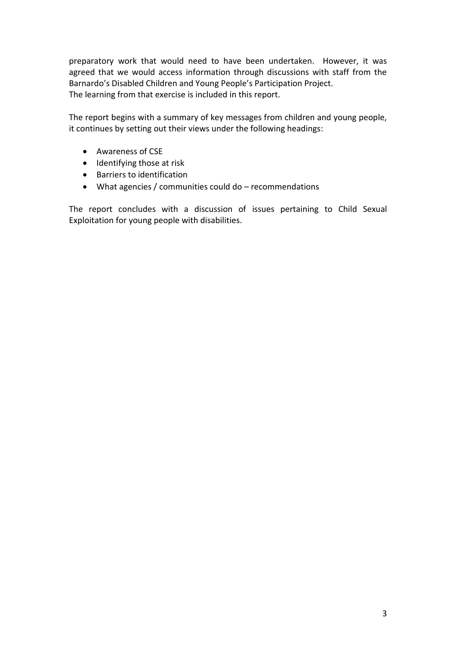preparatory work that would need to have been undertaken. However, it was agreed that we would access information through discussions with staff from the Barnardo's Disabled Children and Young People's Participation Project. The learning from that exercise is included in this report.

The report begins with a summary of key messages from children and young people, it continues by setting out their views under the following headings:

- Awareness of CSE
- Identifying those at risk
- Barriers to identification
- What agencies / communities could do recommendations

The report concludes with a discussion of issues pertaining to Child Sexual Exploitation for young people with disabilities.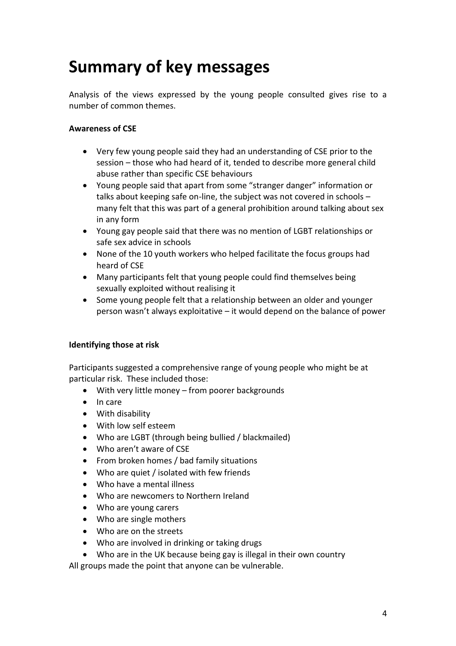# **Summary of key messages**

Analysis of the views expressed by the young people consulted gives rise to a number of common themes.

### **Awareness of CSE**

- Very few young people said they had an understanding of CSE prior to the session – those who had heard of it, tended to describe more general child abuse rather than specific CSE behaviours
- Young people said that apart from some "stranger danger" information or talks about keeping safe on-line, the subject was not covered in schools – many felt that this was part of a general prohibition around talking about sex in any form
- Young gay people said that there was no mention of LGBT relationships or safe sex advice in schools
- None of the 10 youth workers who helped facilitate the focus groups had heard of CSE
- Many participants felt that young people could find themselves being sexually exploited without realising it
- Some young people felt that a relationship between an older and younger person wasn't always exploitative – it would depend on the balance of power

#### **Identifying those at risk**

Participants suggested a comprehensive range of young people who might be at particular risk. These included those:

- With very little money from poorer backgrounds
- $\bullet$  In care
- With disability
- With low self esteem
- Who are LGBT (through being bullied / blackmailed)
- Who aren't aware of CSE
- From broken homes / bad family situations
- Who are quiet / isolated with few friends
- Who have a mental illness
- Who are newcomers to Northern Ireland
- Who are young carers
- Who are single mothers
- Who are on the streets
- Who are involved in drinking or taking drugs
- Who are in the UK because being gay is illegal in their own country

All groups made the point that anyone can be vulnerable.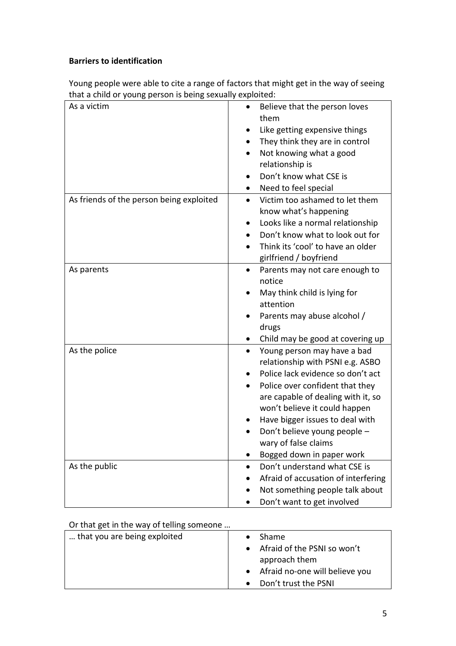### **Barriers to identification**

Young people were able to cite a range of factors that might get in the way of seeing that a child or young person is being sexually exploited:

| $\frac{1}{2}$ ching of young person is being |                                                                                                                                                                                                                                                                                                                                                                               |
|----------------------------------------------|-------------------------------------------------------------------------------------------------------------------------------------------------------------------------------------------------------------------------------------------------------------------------------------------------------------------------------------------------------------------------------|
| As a victim                                  | Believe that the person loves<br>$\bullet$<br>them<br>Like getting expensive things<br>They think they are in control<br>$\bullet$<br>Not knowing what a good<br>$\bullet$<br>relationship is<br>Don't know what CSE is<br>$\bullet$<br>Need to feel special<br>$\bullet$                                                                                                     |
| As friends of the person being exploited     | Victim too ashamed to let them<br>$\bullet$<br>know what's happening<br>Looks like a normal relationship<br>$\bullet$<br>Don't know what to look out for<br>$\bullet$<br>Think its 'cool' to have an older<br>$\bullet$<br>girlfriend / boyfriend                                                                                                                             |
| As parents                                   | Parents may not care enough to<br>$\bullet$<br>notice<br>May think child is lying for<br>attention<br>Parents may abuse alcohol /<br>drugs<br>Child may be good at covering up<br>$\bullet$                                                                                                                                                                                   |
| As the police                                | Young person may have a bad<br>$\bullet$<br>relationship with PSNI e.g. ASBO<br>Police lack evidence so don't act<br>Police over confident that they<br>$\bullet$<br>are capable of dealing with it, so<br>won't believe it could happen<br>Have bigger issues to deal with<br>Don't believe young people -<br>wary of false claims<br>Bogged down in paper work<br>$\bullet$ |
| As the public                                | Don't understand what CSE is<br>Afraid of accusation of interfering<br>Not something people talk about<br>$\bullet$<br>Don't want to get involved                                                                                                                                                                                                                             |

#### Or that get in the way of telling someone …

| that you are being exploited | <b>Shame</b>                             |
|------------------------------|------------------------------------------|
|                              | Afraid of the PSNI so won't<br>$\bullet$ |
|                              | approach them                            |
|                              | • Afraid no-one will believe you         |
|                              | Don't trust the PSNI                     |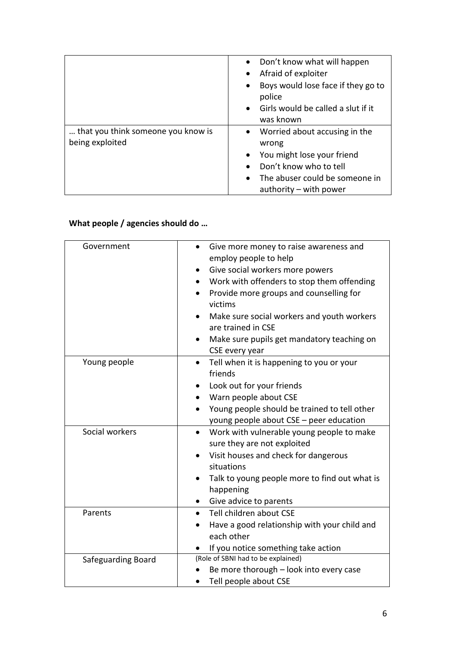|                                                       | Don't know what will happen<br>Afraid of exploiter<br>Boys would lose face if they go to<br>$\bullet$<br>police<br>Girls would be called a slut if it<br>was known      |
|-------------------------------------------------------|-------------------------------------------------------------------------------------------------------------------------------------------------------------------------|
| that you think someone you know is<br>being exploited | Worried about accusing in the<br>wrong<br>You might lose your friend<br>Don't know who to tell<br>The abuser could be someone in<br>$\bullet$<br>authority – with power |

## **What people / agencies should do …**

| Government         | Give more money to raise awareness and<br>employ people to help<br>Give social workers more powers<br>Work with offenders to stop them offending<br>Provide more groups and counselling for<br>victims<br>Make sure social workers and youth workers<br>are trained in CSE<br>Make sure pupils get mandatory teaching on<br>$\bullet$<br>CSE every year |
|--------------------|---------------------------------------------------------------------------------------------------------------------------------------------------------------------------------------------------------------------------------------------------------------------------------------------------------------------------------------------------------|
| Young people       | Tell when it is happening to you or your<br>$\bullet$<br>friends<br>Look out for your friends<br>Warn people about CSE<br>Young people should be trained to tell other<br>young people about CSE - peer education                                                                                                                                       |
| Social workers     | Work with vulnerable young people to make<br>$\bullet$<br>sure they are not exploited<br>Visit houses and check for dangerous<br>situations<br>Talk to young people more to find out what is<br>$\bullet$<br>happening<br>Give advice to parents                                                                                                        |
| Parents            | Tell children about CSE<br>$\bullet$<br>Have a good relationship with your child and<br>each other<br>If you notice something take action                                                                                                                                                                                                               |
| Safeguarding Board | (Role of SBNI had to be explained)<br>Be more thorough - look into every case<br>Tell people about CSE                                                                                                                                                                                                                                                  |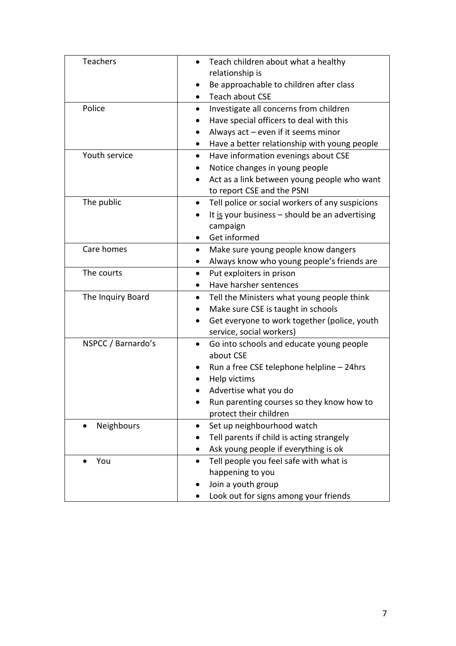| Teachers           | Teach children about what a healthy                          |
|--------------------|--------------------------------------------------------------|
|                    | relationship is                                              |
|                    | Be approachable to children after class                      |
|                    | Teach about CSE                                              |
| Police             | Investigate all concerns from children                       |
|                    | Have special officers to deal with this                      |
|                    | Always $act$ – even if it seems minor                        |
|                    | Have a better relationship with young people<br>$\bullet$    |
| Youth service      | Have information evenings about CSE<br>$\bullet$             |
|                    | Notice changes in young people                               |
|                    | Act as a link between young people who want<br>$\bullet$     |
|                    | to report CSE and the PSNI                                   |
| The public         | Tell police or social workers of any suspicions<br>$\bullet$ |
|                    | It is your business $-$ should be an advertising             |
|                    | campaign                                                     |
|                    | Get informed                                                 |
| Care homes         | Make sure young people know dangers<br>$\bullet$             |
|                    | Always know who young people's friends are                   |
| The courts         | Put exploiters in prison                                     |
|                    | Have harsher sentences<br>$\bullet$                          |
| The Inquiry Board  | Tell the Ministers what young people think                   |
|                    | Make sure CSE is taught in schools                           |
|                    | Get everyone to work together (police, youth                 |
|                    | service, social workers)                                     |
| NSPCC / Barnardo's | Go into schools and educate young people<br>$\bullet$        |
|                    | about CSE                                                    |
|                    | Run a free CSE telephone helpline - 24hrs                    |
|                    | Help victims                                                 |
|                    | Advertise what you do                                        |
|                    | Run parenting courses so they know how to                    |
|                    | protect their children                                       |
| Neighbours         | Set up neighbourhood watch<br>$\bullet$                      |
|                    | Tell parents if child is acting strangely                    |
|                    | Ask young people if everything is ok<br>$\bullet$            |
| You                | Tell people you feel safe with what is<br>$\bullet$          |
|                    | happening to you                                             |
|                    | Join a youth group                                           |
|                    | Look out for signs among your friends                        |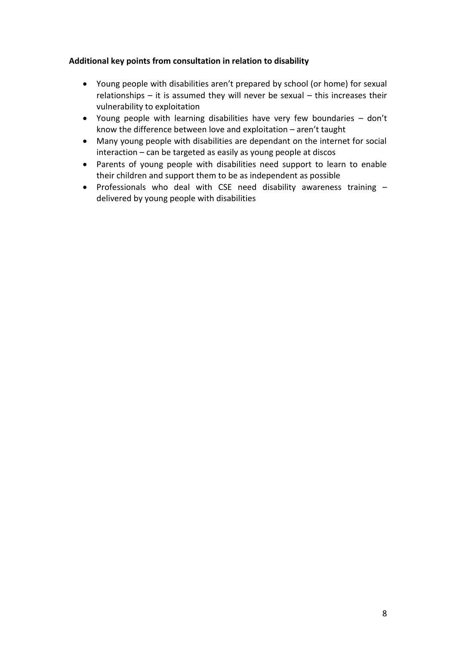### **Additional key points from consultation in relation to disability**

- Young people with disabilities aren't prepared by school (or home) for sexual relationships – it is assumed they will never be sexual – this increases their vulnerability to exploitation
- Young people with learning disabilities have very few boundaries don't know the difference between love and exploitation – aren't taught
- Many young people with disabilities are dependant on the internet for social interaction – can be targeted as easily as young people at discos
- Parents of young people with disabilities need support to learn to enable their children and support them to be as independent as possible
- Professionals who deal with CSE need disability awareness training  $$ delivered by young people with disabilities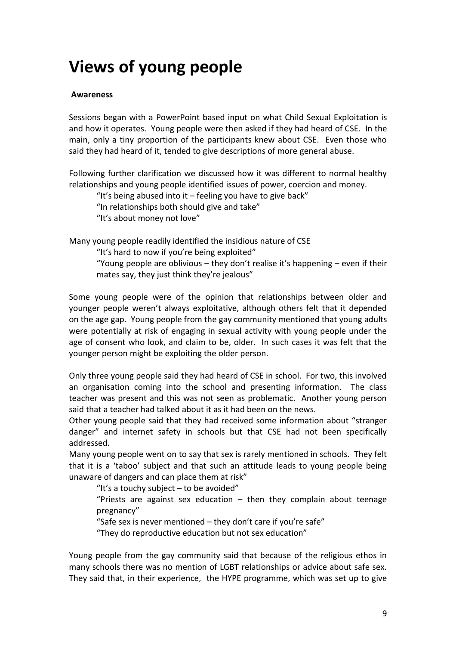# **Views of young people**

#### **Awareness**

Sessions began with a PowerPoint based input on what Child Sexual Exploitation is and how it operates. Young people were then asked if they had heard of CSE. In the main, only a tiny proportion of the participants knew about CSE. Even those who said they had heard of it, tended to give descriptions of more general abuse.

Following further clarification we discussed how it was different to normal healthy relationships and young people identified issues of power, coercion and money.

"It's being abused into it – feeling you have to give back"

"In relationships both should give and take"

"It's about money not love"

Many young people readily identified the insidious nature of CSE

"It's hard to now if you're being exploited"

"Young people are oblivious – they don't realise it's happening – even if their mates say, they just think they're jealous"

Some young people were of the opinion that relationships between older and younger people weren't always exploitative, although others felt that it depended on the age gap. Young people from the gay community mentioned that young adults were potentially at risk of engaging in sexual activity with young people under the age of consent who look, and claim to be, older. In such cases it was felt that the younger person might be exploiting the older person.

Only three young people said they had heard of CSE in school. For two, this involved an organisation coming into the school and presenting information. The class teacher was present and this was not seen as problematic. Another young person said that a teacher had talked about it as it had been on the news.

Other young people said that they had received some information about "stranger danger" and internet safety in schools but that CSE had not been specifically addressed.

Many young people went on to say that sex is rarely mentioned in schools. They felt that it is a 'taboo' subject and that such an attitude leads to young people being unaware of dangers and can place them at risk"

"It's a touchy subject  $-$  to be avoided"

"Priests are against sex education  $-$  then they complain about teenage pregnancy"

"Safe sex is never mentioned – they don't care if you're safe"

"They do reproductive education but not sex education"

Young people from the gay community said that because of the religious ethos in many schools there was no mention of LGBT relationships or advice about safe sex. They said that, in their experience, the HYPE programme, which was set up to give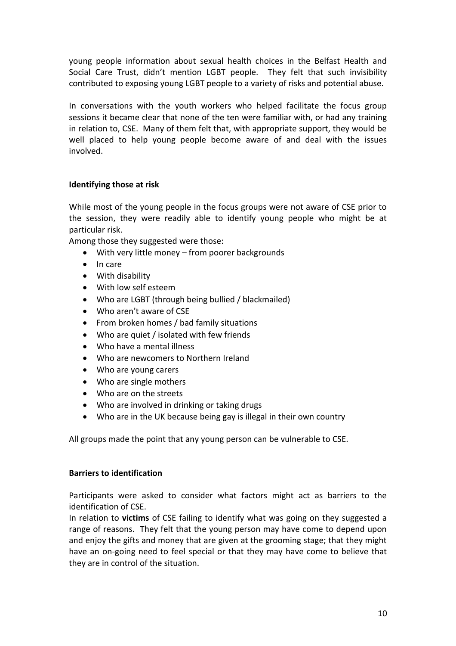young people information about sexual health choices in the Belfast Health and Social Care Trust, didn't mention LGBT people. They felt that such invisibility contributed to exposing young LGBT people to a variety of risks and potential abuse.

In conversations with the youth workers who helped facilitate the focus group sessions it became clear that none of the ten were familiar with, or had any training in relation to, CSE. Many of them felt that, with appropriate support, they would be well placed to help young people become aware of and deal with the issues involved.

#### **Identifying those at risk**

While most of the young people in the focus groups were not aware of CSE prior to the session, they were readily able to identify young people who might be at particular risk.

Among those they suggested were those:

- With very little money from poorer backgrounds
- In care
- With disability
- With low self esteem
- Who are LGBT (through being bullied / blackmailed)
- Who aren't aware of CSE
- From broken homes / bad family situations
- Who are quiet / isolated with few friends
- Who have a mental illness
- Who are newcomers to Northern Ireland
- Who are young carers
- Who are single mothers
- Who are on the streets
- Who are involved in drinking or taking drugs
- Who are in the UK because being gay is illegal in their own country

All groups made the point that any young person can be vulnerable to CSE.

#### **Barriers to identification**

Participants were asked to consider what factors might act as barriers to the identification of CSE.

In relation to **victims** of CSE failing to identify what was going on they suggested a range of reasons. They felt that the young person may have come to depend upon and enjoy the gifts and money that are given at the grooming stage; that they might have an on-going need to feel special or that they may have come to believe that they are in control of the situation.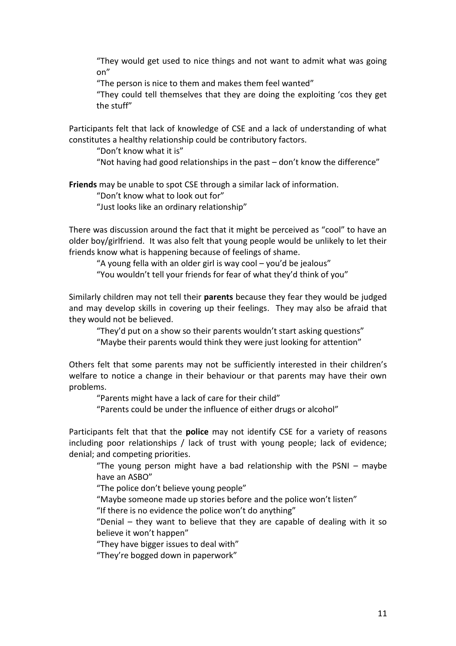"They would get used to nice things and not want to admit what was going on"

"The person is nice to them and makes them feel wanted"

"They could tell themselves that they are doing the exploiting 'cos they get the stuff"

Participants felt that lack of knowledge of CSE and a lack of understanding of what constitutes a healthy relationship could be contributory factors.

"Don't know what it is"

"Not having had good relationships in the past – don't know the difference"

**Friends** may be unable to spot CSE through a similar lack of information.

"Don't know what to look out for"

"Just looks like an ordinary relationship"

There was discussion around the fact that it might be perceived as "cool" to have an older boy/girlfriend. It was also felt that young people would be unlikely to let their friends know what is happening because of feelings of shame.

"A young fella with an older girl is way cool – you'd be jealous" "You wouldn't tell your friends for fear of what they'd think of you"

Similarly children may not tell their **parents** because they fear they would be judged and may develop skills in covering up their feelings. They may also be afraid that they would not be believed.

"They'd put on a show so their parents wouldn't start asking questions" "Maybe their parents would think they were just looking for attention"

Others felt that some parents may not be sufficiently interested in their children's welfare to notice a change in their behaviour or that parents may have their own problems.

"Parents might have a lack of care for their child"

"Parents could be under the influence of either drugs or alcohol"

Participants felt that that the **police** may not identify CSE for a variety of reasons including poor relationships / lack of trust with young people; lack of evidence; denial; and competing priorities.

"The young person might have a bad relationship with the PSNI – maybe have an ASBO"

"The police don't believe young people"

"Maybe someone made up stories before and the police won't listen"

"If there is no evidence the police won't do anything"

"Denial – they want to believe that they are capable of dealing with it so believe it won't happen"

"They have bigger issues to deal with"

"They're bogged down in paperwork"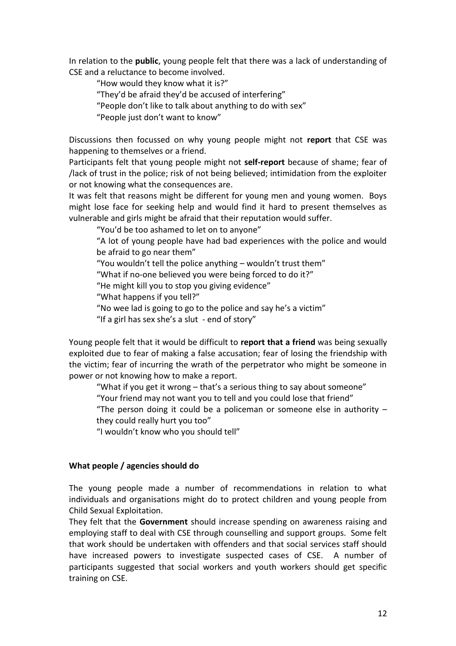In relation to the **public**, young people felt that there was a lack of understanding of CSE and a reluctance to become involved.

"How would they know what it is?"

"They'd be afraid they'd be accused of interfering"

"People don't like to talk about anything to do with sex"

"People just don't want to know"

Discussions then focussed on why young people might not **report** that CSE was happening to themselves or a friend.

Participants felt that young people might not **self-report** because of shame; fear of /lack of trust in the police; risk of not being believed; intimidation from the exploiter or not knowing what the consequences are.

It was felt that reasons might be different for young men and young women. Boys might lose face for seeking help and would find it hard to present themselves as vulnerable and girls might be afraid that their reputation would suffer.

"You'd be too ashamed to let on to anyone"

"A lot of young people have had bad experiences with the police and would be afraid to go near them"

"You wouldn't tell the police anything – wouldn't trust them"

"What if no-one believed you were being forced to do it?"

"He might kill you to stop you giving evidence"

"What happens if you tell?"

"No wee lad is going to go to the police and say he's a victim"

"If a girl has sex she's a slut - end of story"

Young people felt that it would be difficult to **report that a friend** was being sexually exploited due to fear of making a false accusation; fear of losing the friendship with the victim; fear of incurring the wrath of the perpetrator who might be someone in power or not knowing how to make a report.

"What if you get it wrong – that's a serious thing to say about someone"

"Your friend may not want you to tell and you could lose that friend"

"The person doing it could be a policeman or someone else in authority – they could really hurt you too"

"I wouldn't know who you should tell"

#### **What people / agencies should do**

The young people made a number of recommendations in relation to what individuals and organisations might do to protect children and young people from Child Sexual Exploitation.

They felt that the **Government** should increase spending on awareness raising and employing staff to deal with CSE through counselling and support groups. Some felt that work should be undertaken with offenders and that social services staff should have increased powers to investigate suspected cases of CSE. A number of participants suggested that social workers and youth workers should get specific training on CSE.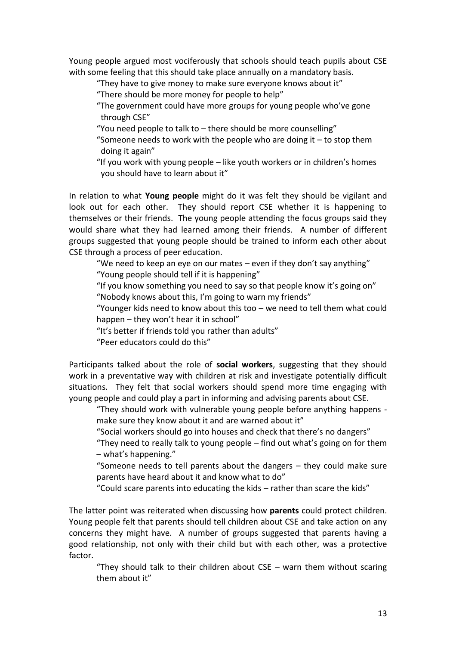Young people argued most vociferously that schools should teach pupils about CSE with some feeling that this should take place annually on a mandatory basis.

"They have to give money to make sure everyone knows about it"

"There should be more money for people to help"

"The government could have more groups for young people who've gone through CSE"

"You need people to talk to – there should be more counselling"

"Someone needs to work with the people who are doing it  $-$  to stop them doing it again"

"If you work with young people – like youth workers or in children's homes you should have to learn about it"

In relation to what **Young people** might do it was felt they should be vigilant and look out for each other. They should report CSE whether it is happening to themselves or their friends. The young people attending the focus groups said they would share what they had learned among their friends. A number of different groups suggested that young people should be trained to inform each other about CSE through a process of peer education.

"We need to keep an eye on our mates – even if they don't say anything" "Young people should tell if it is happening"

"If you know something you need to say so that people know it's going on"

"Nobody knows about this, I'm going to warn my friends"

"Younger kids need to know about this too – we need to tell them what could happen – they won't hear it in school"

"It's better if friends told you rather than adults"

"Peer educators could do this"

Participants talked about the role of **social workers**, suggesting that they should work in a preventative way with children at risk and investigate potentially difficult situations. They felt that social workers should spend more time engaging with young people and could play a part in informing and advising parents about CSE.

"They should work with vulnerable young people before anything happens make sure they know about it and are warned about it"

"Social workers should go into houses and check that there's no dangers"

"They need to really talk to young people – find out what's going on for them – what's happening."

"Someone needs to tell parents about the dangers – they could make sure parents have heard about it and know what to do"

"Could scare parents into educating the kids – rather than scare the kids"

The latter point was reiterated when discussing how **parents** could protect children. Young people felt that parents should tell children about CSE and take action on any concerns they might have. A number of groups suggested that parents having a good relationship, not only with their child but with each other, was a protective factor.

"They should talk to their children about CSE – warn them without scaring them about it"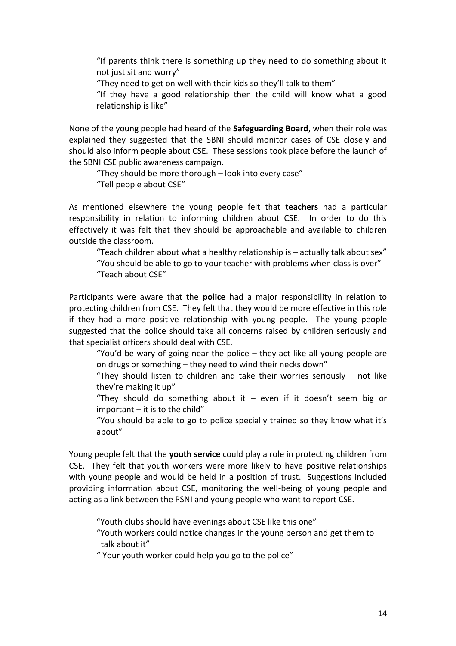"If parents think there is something up they need to do something about it not just sit and worry"

"They need to get on well with their kids so they'll talk to them"

"If they have a good relationship then the child will know what a good relationship is like"

None of the young people had heard of the **Safeguarding Board**, when their role was explained they suggested that the SBNI should monitor cases of CSE closely and should also inform people about CSE. These sessions took place before the launch of the SBNI CSE public awareness campaign.

"They should be more thorough – look into every case" "Tell people about CSE"

As mentioned elsewhere the young people felt that **teachers** had a particular responsibility in relation to informing children about CSE. In order to do this effectively it was felt that they should be approachable and available to children outside the classroom.

"Teach children about what a healthy relationship is – actually talk about sex" "You should be able to go to your teacher with problems when class is over" "Teach about CSE"

Participants were aware that the **police** had a major responsibility in relation to protecting children from CSE. They felt that they would be more effective in this role if they had a more positive relationship with young people. The young people suggested that the police should take all concerns raised by children seriously and that specialist officers should deal with CSE.

"You'd be wary of going near the police – they act like all young people are on drugs or something – they need to wind their necks down"

"They should listen to children and take their worries seriously – not like they're making it up"

"They should do something about it  $-$  even if it doesn't seem big or important – it is to the child"

"You should be able to go to police specially trained so they know what it's about"

Young people felt that the **youth service** could play a role in protecting children from CSE. They felt that youth workers were more likely to have positive relationships with young people and would be held in a position of trust. Suggestions included providing information about CSE, monitoring the well-being of young people and acting as a link between the PSNI and young people who want to report CSE.

"Youth clubs should have evenings about CSE like this one"

"Youth workers could notice changes in the young person and get them to talk about it"

" Your youth worker could help you go to the police"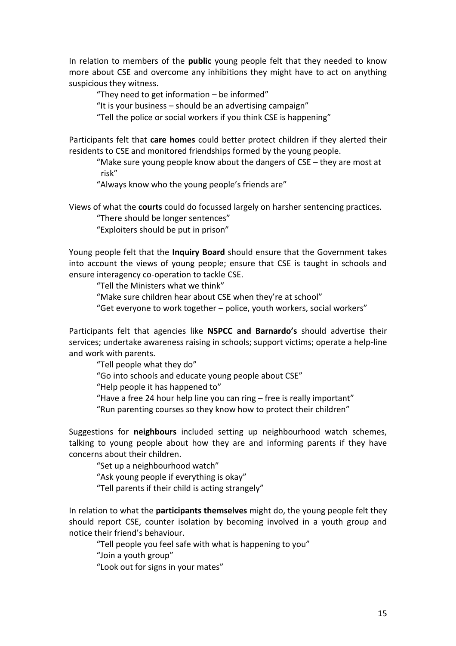In relation to members of the **public** young people felt that they needed to know more about CSE and overcome any inhibitions they might have to act on anything suspicious they witness.

"They need to get information – be informed"

"It is your business – should be an advertising campaign"

"Tell the police or social workers if you think CSE is happening"

Participants felt that **care homes** could better protect children if they alerted their residents to CSE and monitored friendships formed by the young people.

"Make sure young people know about the dangers of CSE – they are most at risk"

"Always know who the young people's friends are"

Views of what the **courts** could do focussed largely on harsher sentencing practices.

"There should be longer sentences"

"Exploiters should be put in prison"

Young people felt that the **Inquiry Board** should ensure that the Government takes into account the views of young people; ensure that CSE is taught in schools and ensure interagency co-operation to tackle CSE.

"Tell the Ministers what we think"

"Make sure children hear about CSE when they're at school"

"Get everyone to work together – police, youth workers, social workers"

Participants felt that agencies like **NSPCC and Barnardo's** should advertise their services; undertake awareness raising in schools; support victims; operate a help-line and work with parents.

"Tell people what they do"

"Go into schools and educate young people about CSE"

"Help people it has happened to"

"Have a free 24 hour help line you can ring – free is really important"

"Run parenting courses so they know how to protect their children"

Suggestions for **neighbours** included setting up neighbourhood watch schemes, talking to young people about how they are and informing parents if they have concerns about their children.

"Set up a neighbourhood watch"

"Ask young people if everything is okay"

"Tell parents if their child is acting strangely"

In relation to what the **participants themselves** might do, the young people felt they should report CSE, counter isolation by becoming involved in a youth group and notice their friend's behaviour.

"Tell people you feel safe with what is happening to you"

"Join a youth group"

"Look out for signs in your mates"